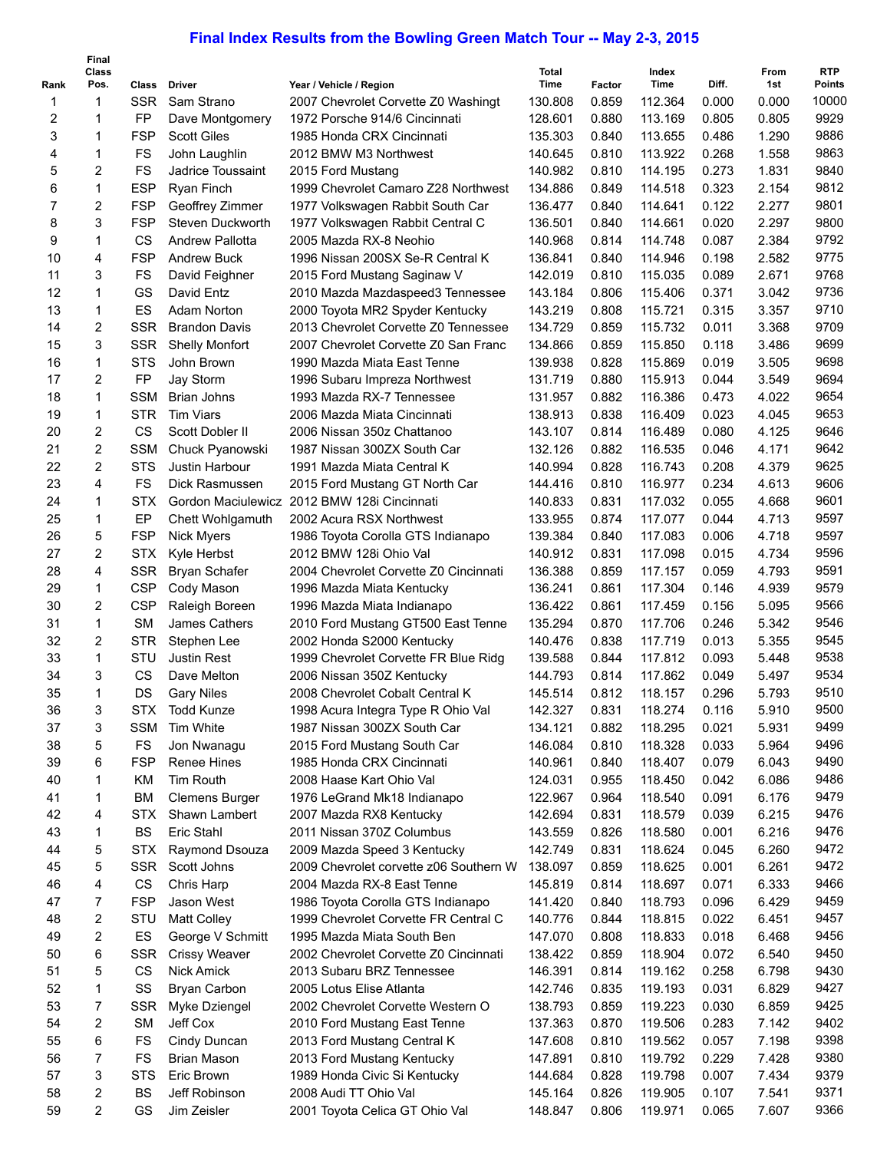## **Final Index Results from the Bowling Green Match Tour -- May 2-3, 2015**

|                | Final<br><b>Class</b> |            |                                 |                                             | <b>Total</b>       |        | Index   |       | From  | <b>RTP</b>    |
|----------------|-----------------------|------------|---------------------------------|---------------------------------------------|--------------------|--------|---------|-------|-------|---------------|
| Rank           | Pos.                  | Class      | <b>Driver</b>                   | Year / Vehicle / Region                     | <b>Time</b>        | Factor | Time    | Diff. | 1st   | <b>Points</b> |
| 1              | 1                     | <b>SSR</b> | Sam Strano                      | 2007 Chevrolet Corvette Z0 Washingt         | 130.808            | 0.859  | 112.364 | 0.000 | 0.000 | 10000         |
| 2              | 1                     | FP         | Dave Montgomery                 | 1972 Porsche 914/6 Cincinnati               | 128.601            | 0.880  | 113.169 | 0.805 | 0.805 | 9929          |
| 3              | 1                     | <b>FSP</b> | <b>Scott Giles</b>              | 1985 Honda CRX Cincinnati                   | 135.303            | 0.840  | 113.655 | 0.486 | 1.290 | 9886          |
| 4              | 1                     | FS         | John Laughlin                   | 2012 BMW M3 Northwest                       | 140.645            | 0.810  | 113.922 | 0.268 | 1.558 | 9863          |
| 5              | 2                     | FS         | Jadrice Toussaint               | 2015 Ford Mustang                           | 140.982            | 0.810  | 114.195 | 0.273 | 1.831 | 9840          |
| 6              | 1                     | <b>ESP</b> | Ryan Finch                      | 1999 Chevrolet Camaro Z28 Northwest         | 134.886            | 0.849  | 114.518 | 0.323 | 2.154 | 9812          |
| $\overline{7}$ | 2                     | <b>FSP</b> | Geoffrey Zimmer                 | 1977 Volkswagen Rabbit South Car            | 136.477            | 0.840  | 114.641 | 0.122 | 2.277 | 9801          |
| 8              | 3                     | <b>FSP</b> | Steven Duckworth                | 1977 Volkswagen Rabbit Central C            | 136.501            | 0.840  | 114.661 | 0.020 | 2.297 | 9800          |
| 9              | 1                     | CS         | <b>Andrew Pallotta</b>          | 2005 Mazda RX-8 Neohio                      | 140.968            | 0.814  | 114.748 | 0.087 | 2.384 | 9792          |
| 10             | 4                     | <b>FSP</b> | <b>Andrew Buck</b>              | 1996 Nissan 200SX Se-R Central K            | 136.841            | 0.840  | 114.946 | 0.198 | 2.582 | 9775          |
| 11             | 3                     | FS         | David Feighner                  | 2015 Ford Mustang Saginaw V                 | 142.019            | 0.810  | 115.035 | 0.089 | 2.671 | 9768          |
| 12             | 1                     | GS         | David Entz                      | 2010 Mazda Mazdaspeed3 Tennessee            | 143.184            | 0.806  | 115.406 | 0.371 | 3.042 | 9736          |
| 13             | 1                     | ES         | Adam Norton                     | 2000 Toyota MR2 Spyder Kentucky             | 143.219            | 0.808  | 115.721 | 0.315 | 3.357 | 9710          |
| 14             | 2                     | <b>SSR</b> | <b>Brandon Davis</b>            | 2013 Chevrolet Corvette Z0 Tennessee        | 134.729            | 0.859  | 115.732 | 0.011 | 3.368 | 9709          |
| 15             | 3                     | <b>SSR</b> | <b>Shelly Monfort</b>           | 2007 Chevrolet Corvette Z0 San Franc        | 134.866            | 0.859  | 115.850 | 0.118 | 3.486 | 9699          |
| 16             | 1                     | <b>STS</b> | John Brown                      | 1990 Mazda Miata East Tenne                 | 139.938            | 0.828  | 115.869 | 0.019 | 3.505 | 9698          |
| 17             | 2                     | FP         | Jay Storm                       | 1996 Subaru Impreza Northwest               | 131.719            | 0.880  | 115.913 | 0.044 | 3.549 | 9694          |
| 18             | 1                     | <b>SSM</b> | <b>Brian Johns</b>              | 1993 Mazda RX-7 Tennessee                   | 131.957            | 0.882  | 116.386 | 0.473 | 4.022 | 9654          |
| 19             | 1                     | <b>STR</b> | <b>Tim Viars</b>                | 2006 Mazda Miata Cincinnati                 | 138.913            | 0.838  | 116.409 | 0.023 | 4.045 | 9653          |
| 20             | 2                     | CS         | Scott Dobler II                 | 2006 Nissan 350z Chattanoo                  | 143.107            | 0.814  | 116.489 | 0.080 | 4.125 | 9646          |
| 21             | 2                     | <b>SSM</b> | Chuck Pyanowski                 | 1987 Nissan 300ZX South Car                 | 132.126            | 0.882  | 116.535 | 0.046 | 4.171 | 9642          |
| 22             | 2                     | <b>STS</b> | Justin Harbour                  | 1991 Mazda Miata Central K                  | 140.994            | 0.828  | 116.743 | 0.208 | 4.379 | 9625          |
| 23             | 4                     | FS         | Dick Rasmussen                  | 2015 Ford Mustang GT North Car              | 144.416            | 0.810  | 116.977 | 0.234 | 4.613 | 9606          |
| 24             | 1                     | <b>STX</b> |                                 | Gordon Maciulewicz 2012 BMW 128i Cincinnati | 140.833            | 0.831  | 117.032 | 0.055 | 4.668 | 9601          |
| 25             | 1                     | EP         | Chett Wohlgamuth                | 2002 Acura RSX Northwest                    | 133.955            | 0.874  | 117.077 | 0.044 | 4.713 | 9597          |
| 26             | 5                     | <b>FSP</b> | <b>Nick Myers</b>               | 1986 Toyota Corolla GTS Indianapo           | 139.384            | 0.840  | 117.083 | 0.006 | 4.718 | 9597          |
| 27             | 2                     | <b>STX</b> | Kyle Herbst                     | 2012 BMW 128i Ohio Val                      | 140.912            | 0.831  | 117.098 | 0.015 | 4.734 | 9596          |
| 28             | 4                     | <b>SSR</b> | <b>Bryan Schafer</b>            | 2004 Chevrolet Corvette Z0 Cincinnati       | 136.388            | 0.859  | 117.157 | 0.059 | 4.793 | 9591          |
| 29             | 1                     | <b>CSP</b> |                                 |                                             | 136.241            | 0.861  | 117.304 | 0.146 | 4.939 | 9579          |
| 30             | 2                     | <b>CSP</b> | Cody Mason                      | 1996 Mazda Miata Kentucky                   |                    | 0.861  | 117.459 | 0.156 | 5.095 | 9566          |
| 31             | 1                     | <b>SM</b>  | Raleigh Boreen<br>James Cathers | 1996 Mazda Miata Indianapo                  | 136.422<br>135.294 | 0.870  | 117.706 | 0.246 | 5.342 | 9546          |
|                |                       |            |                                 | 2010 Ford Mustang GT500 East Tenne          |                    |        |         |       |       | 9545          |
| 32             | 2                     | <b>STR</b> | Stephen Lee                     | 2002 Honda S2000 Kentucky                   | 140.476            | 0.838  | 117.719 | 0.013 | 5.355 | 9538          |
| 33             | 1                     | STU        | <b>Justin Rest</b>              | 1999 Chevrolet Corvette FR Blue Ridg        | 139.588            | 0.844  | 117.812 | 0.093 | 5.448 |               |
| 34             | 3                     | CS         | Dave Melton                     | 2006 Nissan 350Z Kentucky                   | 144.793            | 0.814  | 117.862 | 0.049 | 5.497 | 9534          |
| 35             | 1                     | DS         | <b>Gary Niles</b>               | 2008 Chevrolet Cobalt Central K             | 145.514            | 0.812  | 118.157 | 0.296 | 5.793 | 9510          |
| 36             | 3                     | STX.       | Todd Kunze                      | 1998 Acura Integra Type R Ohio Val          | 142.327            | 0.831  | 118.274 | 0.116 | 5.910 | 9500          |
| 37             | 3                     | <b>SSM</b> | Tim White                       | 1987 Nissan 300ZX South Car                 | 134.121            | 0.882  | 118.295 | 0.021 | 5.931 | 9499          |
| 38             | 5                     | <b>FS</b>  | Jon Nwanagu                     | 2015 Ford Mustang South Car                 | 146.084            | 0.810  | 118.328 | 0.033 | 5.964 | 9496          |
| 39             | 6                     | <b>FSP</b> | <b>Renee Hines</b>              | 1985 Honda CRX Cincinnati                   | 140.961            | 0.840  | 118.407 | 0.079 | 6.043 | 9490          |
| 40             | 1                     | KM         | Tim Routh                       | 2008 Haase Kart Ohio Val                    | 124.031            | 0.955  | 118.450 | 0.042 | 6.086 | 9486          |
| 41             | 1                     | <b>BM</b>  | <b>Clemens Burger</b>           | 1976 LeGrand Mk18 Indianapo                 | 122.967            | 0.964  | 118.540 | 0.091 | 6.176 | 9479          |
| 42             | 4                     | <b>STX</b> | Shawn Lambert                   | 2007 Mazda RX8 Kentucky                     | 142.694            | 0.831  | 118.579 | 0.039 | 6.215 | 9476          |
| 43             | 1                     | <b>BS</b>  | Eric Stahl                      | 2011 Nissan 370Z Columbus                   | 143.559            | 0.826  | 118.580 | 0.001 | 6.216 | 9476          |
| 44             | 5                     | <b>STX</b> | Raymond Dsouza                  | 2009 Mazda Speed 3 Kentucky                 | 142.749            | 0.831  | 118.624 | 0.045 | 6.260 | 9472          |
| 45             | 5                     | <b>SSR</b> | Scott Johns                     | 2009 Chevrolet corvette z06 Southern W      | 138.097            | 0.859  | 118.625 | 0.001 | 6.261 | 9472          |
| 46             | 4                     | CS         | Chris Harp                      | 2004 Mazda RX-8 East Tenne                  | 145.819            | 0.814  | 118.697 | 0.071 | 6.333 | 9466          |
| 47             | 7                     | <b>FSP</b> | Jason West                      | 1986 Toyota Corolla GTS Indianapo           | 141.420            | 0.840  | 118.793 | 0.096 | 6.429 | 9459          |
| 48             | 2                     | STU        | <b>Matt Colley</b>              | 1999 Chevrolet Corvette FR Central C        | 140.776            | 0.844  | 118.815 | 0.022 | 6.451 | 9457          |
| 49             | 2                     | ES         | George V Schmitt                | 1995 Mazda Miata South Ben                  | 147.070            | 0.808  | 118.833 | 0.018 | 6.468 | 9456          |
| 50             | 6                     | <b>SSR</b> | <b>Crissy Weaver</b>            | 2002 Chevrolet Corvette Z0 Cincinnati       | 138.422            | 0.859  | 118.904 | 0.072 | 6.540 | 9450          |
| 51             | 5                     | CS         | Nick Amick                      | 2013 Subaru BRZ Tennessee                   | 146.391            | 0.814  | 119.162 | 0.258 | 6.798 | 9430          |
| 52             | 1                     | SS         | Bryan Carbon                    | 2005 Lotus Elise Atlanta                    | 142.746            | 0.835  | 119.193 | 0.031 | 6.829 | 9427          |
| 53             | 7                     | <b>SSR</b> | Myke Dziengel                   | 2002 Chevrolet Corvette Western O           | 138.793            | 0.859  | 119.223 | 0.030 | 6.859 | 9425          |
| 54             | 2                     | <b>SM</b>  | Jeff Cox                        | 2010 Ford Mustang East Tenne                | 137.363            | 0.870  | 119.506 | 0.283 | 7.142 | 9402          |
| 55             | 6                     | <b>FS</b>  | Cindy Duncan                    | 2013 Ford Mustang Central K                 | 147.608            | 0.810  | 119.562 | 0.057 | 7.198 | 9398          |
| 56             | 7                     | <b>FS</b>  | <b>Brian Mason</b>              | 2013 Ford Mustang Kentucky                  | 147.891            | 0.810  | 119.792 | 0.229 | 7.428 | 9380          |
| 57             | 3                     | <b>STS</b> | Eric Brown                      | 1989 Honda Civic Si Kentucky                | 144.684            | 0.828  | 119.798 | 0.007 | 7.434 | 9379          |
| 58             | 2                     | <b>BS</b>  | Jeff Robinson                   | 2008 Audi TT Ohio Val                       | 145.164            | 0.826  | 119.905 | 0.107 | 7.541 | 9371          |
| 59             | 2                     | GS         | Jim Zeisler                     | 2001 Toyota Celica GT Ohio Val              | 148.847            | 0.806  | 119.971 | 0.065 | 7.607 | 9366          |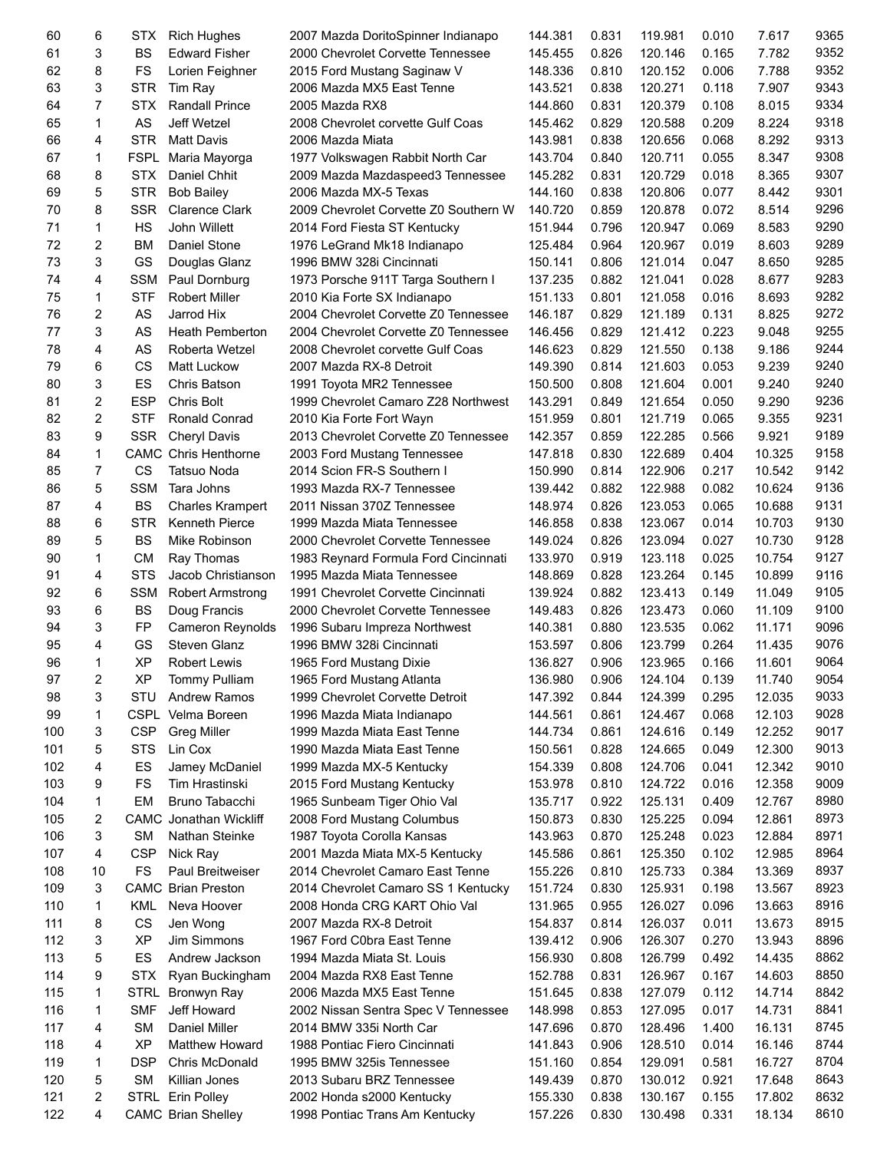| 60  | 6              | STX.                 | <b>Rich Hughes</b>          | 2007 Mazda DoritoSpinner Indianapo    | 144.381 | 0.831 | 119.981 | 0.010 | 7.617  | 9365 |
|-----|----------------|----------------------|-----------------------------|---------------------------------------|---------|-------|---------|-------|--------|------|
| 61  | 3              | <b>BS</b>            | <b>Edward Fisher</b>        | 2000 Chevrolet Corvette Tennessee     | 145.455 | 0.826 | 120.146 | 0.165 | 7.782  | 9352 |
| 62  | 8              | FS                   | Lorien Feighner             | 2015 Ford Mustang Saginaw V           | 148.336 | 0.810 | 120.152 | 0.006 | 7.788  | 9352 |
| 63  | 3              | <b>STR</b>           | Tim Ray                     | 2006 Mazda MX5 East Tenne             | 143.521 | 0.838 | 120.271 | 0.118 | 7.907  | 9343 |
| 64  | $\overline{7}$ | <b>STX</b>           | <b>Randall Prince</b>       | 2005 Mazda RX8                        | 144.860 | 0.831 | 120.379 | 0.108 | 8.015  | 9334 |
|     |                |                      |                             |                                       |         |       |         |       |        |      |
| 65  | 1              | AS                   | Jeff Wetzel                 | 2008 Chevrolet corvette Gulf Coas     | 145.462 | 0.829 | 120.588 | 0.209 | 8.224  | 9318 |
| 66  | 4              | <b>STR</b>           | <b>Matt Davis</b>           | 2006 Mazda Miata                      | 143.981 | 0.838 | 120.656 | 0.068 | 8.292  | 9313 |
| 67  | 1              | <b>FSPL</b>          | Maria Mayorga               | 1977 Volkswagen Rabbit North Car      | 143.704 | 0.840 | 120.711 | 0.055 | 8.347  | 9308 |
| 68  | 8              | <b>STX</b>           | Daniel Chhit                | 2009 Mazda Mazdaspeed3 Tennessee      | 145.282 | 0.831 | 120.729 | 0.018 | 8.365  | 9307 |
| 69  | 5              | <b>STR</b>           | <b>Bob Bailey</b>           | 2006 Mazda MX-5 Texas                 | 144.160 | 0.838 | 120.806 | 0.077 | 8.442  | 9301 |
|     |                |                      |                             |                                       |         |       |         |       |        |      |
| 70  | 8              | SSR                  | <b>Clarence Clark</b>       | 2009 Chevrolet Corvette Z0 Southern W | 140.720 | 0.859 | 120.878 | 0.072 | 8.514  | 9296 |
| 71  | 1              | HS                   | John Willett                | 2014 Ford Fiesta ST Kentucky          | 151.944 | 0.796 | 120.947 | 0.069 | 8.583  | 9290 |
| 72  | 2              | <b>BM</b>            | Daniel Stone                | 1976 LeGrand Mk18 Indianapo           | 125.484 | 0.964 | 120.967 | 0.019 | 8.603  | 9289 |
| 73  | 3              | GS                   | Douglas Glanz               | 1996 BMW 328i Cincinnati              | 150.141 | 0.806 | 121.014 | 0.047 | 8.650  | 9285 |
| 74  | 4              | <b>SSM</b>           | Paul Dornburg               | 1973 Porsche 911T Targa Southern I    | 137.235 | 0.882 | 121.041 | 0.028 | 8.677  | 9283 |
| 75  | 1              | <b>STF</b>           | <b>Robert Miller</b>        |                                       | 151.133 | 0.801 | 121.058 | 0.016 | 8.693  | 9282 |
|     |                |                      |                             | 2010 Kia Forte SX Indianapo           |         |       |         |       |        |      |
| 76  | $\overline{c}$ | AS                   | Jarrod Hix                  | 2004 Chevrolet Corvette Z0 Tennessee  | 146.187 | 0.829 | 121.189 | 0.131 | 8.825  | 9272 |
| 77  | 3              | AS                   | <b>Heath Pemberton</b>      | 2004 Chevrolet Corvette Z0 Tennessee  | 146.456 | 0.829 | 121.412 | 0.223 | 9.048  | 9255 |
| 78  | 4              | AS                   | Roberta Wetzel              | 2008 Chevrolet corvette Gulf Coas     | 146.623 | 0.829 | 121.550 | 0.138 | 9.186  | 9244 |
| 79  | 6              | CS                   | Matt Luckow                 | 2007 Mazda RX-8 Detroit               | 149.390 | 0.814 | 121.603 | 0.053 | 9.239  | 9240 |
| 80  | 3              | ES                   | Chris Batson                | 1991 Toyota MR2 Tennessee             | 150.500 | 0.808 | 121.604 | 0.001 | 9.240  | 9240 |
|     |                |                      |                             |                                       |         |       |         |       |        |      |
| 81  | $\overline{2}$ | <b>ESP</b>           | <b>Chris Bolt</b>           | 1999 Chevrolet Camaro Z28 Northwest   | 143.291 | 0.849 | 121.654 | 0.050 | 9.290  | 9236 |
| 82  | $\overline{2}$ | <b>STF</b>           | Ronald Conrad               | 2010 Kia Forte Fort Wayn              | 151.959 | 0.801 | 121.719 | 0.065 | 9.355  | 9231 |
| 83  | 9              | <b>SSR</b>           | <b>Cheryl Davis</b>         | 2013 Chevrolet Corvette Z0 Tennessee  | 142.357 | 0.859 | 122.285 | 0.566 | 9.921  | 9189 |
| 84  | 1              |                      | <b>CAMC Chris Henthorne</b> | 2003 Ford Mustang Tennessee           | 147.818 | 0.830 | 122.689 | 0.404 | 10.325 | 9158 |
| 85  | $\overline{7}$ | CS                   | Tatsuo Noda                 | 2014 Scion FR-S Southern I            | 150.990 | 0.814 | 122.906 | 0.217 | 10.542 | 9142 |
|     |                |                      |                             |                                       |         |       |         |       |        | 9136 |
| 86  | 5              | <b>SSM</b>           | Tara Johns                  | 1993 Mazda RX-7 Tennessee             | 139.442 | 0.882 | 122.988 | 0.082 | 10.624 |      |
| 87  | 4              | <b>BS</b>            | <b>Charles Krampert</b>     | 2011 Nissan 370Z Tennessee            | 148.974 | 0.826 | 123.053 | 0.065 | 10.688 | 9131 |
| 88  | 6              | <b>STR</b>           | <b>Kenneth Pierce</b>       | 1999 Mazda Miata Tennessee            | 146.858 | 0.838 | 123.067 | 0.014 | 10.703 | 9130 |
| 89  | 5              | <b>BS</b>            | Mike Robinson               | 2000 Chevrolet Corvette Tennessee     | 149.024 | 0.826 | 123.094 | 0.027 | 10.730 | 9128 |
| 90  | 1              | <b>CM</b>            | Ray Thomas                  | 1983 Reynard Formula Ford Cincinnati  | 133.970 | 0.919 | 123.118 | 0.025 | 10.754 | 9127 |
| 91  | 4              | <b>STS</b>           | Jacob Christianson          | 1995 Mazda Miata Tennessee            | 148.869 | 0.828 | 123.264 | 0.145 | 10.899 | 9116 |
|     |                |                      |                             |                                       |         |       |         |       |        |      |
| 92  | 6              | <b>SSM</b>           | <b>Robert Armstrong</b>     | 1991 Chevrolet Corvette Cincinnati    | 139.924 | 0.882 | 123.413 | 0.149 | 11.049 | 9105 |
| 93  | 6              | <b>BS</b>            | Doug Francis                | 2000 Chevrolet Corvette Tennessee     | 149.483 | 0.826 | 123.473 | 0.060 | 11.109 | 9100 |
| 94  | 3              | FP                   | <b>Cameron Reynolds</b>     | 1996 Subaru Impreza Northwest         | 140.381 | 0.880 | 123.535 | 0.062 | 11.171 | 9096 |
| 95  | 4              | GS                   | Steven Glanz                | 1996 BMW 328i Cincinnati              | 153.597 | 0.806 | 123.799 | 0.264 | 11.435 | 9076 |
| 96  | 1              | <b>XP</b>            | <b>Robert Lewis</b>         | 1965 Ford Mustang Dixie               | 136.827 | 0.906 | 123.965 | 0.166 | 11.601 | 9064 |
| 97  | 2              | $\mathsf{XP}\xspace$ | Tommy Pulliam               | 1965 Ford Mustang Atlanta             | 136.980 | 0.906 | 124.104 | 0.139 | 11.740 | 9054 |
|     |                |                      |                             |                                       |         |       |         |       |        |      |
| 98  | 3              | STU                  | <b>Andrew Ramos</b>         | 1999 Chevrolet Corvette Detroit       | 147.392 | 0.844 | 124.399 | 0.295 | 12.035 | 9033 |
| 99  | 1              |                      | CSPL Velma Boreen           | 1996 Mazda Miata Indianapo            | 144.561 | 0.861 | 124.467 | 0.068 | 12.103 | 9028 |
| 100 | 3              | <b>CSP</b>           | <b>Greg Miller</b>          | 1999 Mazda Miata East Tenne           | 144.734 | 0.861 | 124.616 | 0.149 | 12.252 | 9017 |
| 101 | 5              | <b>STS</b>           | Lin Cox                     | 1990 Mazda Miata East Tenne           | 150.561 | 0.828 | 124.665 | 0.049 | 12.300 | 9013 |
| 102 | 4              | ES                   | Jamey McDaniel              | 1999 Mazda MX-5 Kentucky              | 154.339 | 0.808 | 124.706 | 0.041 | 12.342 | 9010 |
| 103 | 9              | FS                   | Tim Hrastinski              |                                       | 153.978 | 0.810 | 124.722 | 0.016 | 12.358 | 9009 |
|     |                |                      |                             | 2015 Ford Mustang Kentucky            |         |       |         |       |        |      |
| 104 | 1              | EM                   | Bruno Tabacchi              | 1965 Sunbeam Tiger Ohio Val           | 135.717 | 0.922 | 125.131 | 0.409 | 12.767 | 8980 |
| 105 | 2              | <b>CAMC</b>          | Jonathan Wickliff           | 2008 Ford Mustang Columbus            | 150.873 | 0.830 | 125.225 | 0.094 | 12.861 | 8973 |
| 106 | 3              | <b>SM</b>            | Nathan Steinke              | 1987 Toyota Corolla Kansas            | 143.963 | 0.870 | 125.248 | 0.023 | 12.884 | 8971 |
| 107 | 4              | <b>CSP</b>           | Nick Ray                    | 2001 Mazda Miata MX-5 Kentucky        | 145.586 | 0.861 | 125.350 | 0.102 | 12.985 | 8964 |
| 108 | 10             | FS                   | Paul Breitweiser            | 2014 Chevrolet Camaro East Tenne      | 155.226 | 0.810 | 125.733 | 0.384 | 13.369 | 8937 |
|     |                |                      |                             |                                       |         |       |         |       |        | 8923 |
| 109 | 3              | CAMC                 | <b>Brian Preston</b>        | 2014 Chevrolet Camaro SS 1 Kentucky   | 151.724 | 0.830 | 125.931 | 0.198 | 13.567 |      |
| 110 | 1              | KML                  | Neva Hoover                 | 2008 Honda CRG KART Ohio Val          | 131.965 | 0.955 | 126.027 | 0.096 | 13.663 | 8916 |
| 111 | 8              | CS                   | Jen Wong                    | 2007 Mazda RX-8 Detroit               | 154.837 | 0.814 | 126.037 | 0.011 | 13.673 | 8915 |
| 112 | 3              | <b>XP</b>            | Jim Simmons                 | 1967 Ford C0bra East Tenne            | 139.412 | 0.906 | 126.307 | 0.270 | 13.943 | 8896 |
| 113 | 5              | ES                   | Andrew Jackson              | 1994 Mazda Miata St. Louis            | 156.930 | 0.808 | 126.799 | 0.492 | 14.435 | 8862 |
| 114 | 9              | <b>STX</b>           | Ryan Buckingham             | 2004 Mazda RX8 East Tenne             | 152.788 | 0.831 | 126.967 | 0.167 | 14.603 | 8850 |
|     |                |                      |                             |                                       |         |       |         |       |        |      |
| 115 | 1              | <b>STRL</b>          | Bronwyn Ray                 | 2006 Mazda MX5 East Tenne             | 151.645 | 0.838 | 127.079 | 0.112 | 14.714 | 8842 |
| 116 | 1              | <b>SMF</b>           | Jeff Howard                 | 2002 Nissan Sentra Spec V Tennessee   | 148.998 | 0.853 | 127.095 | 0.017 | 14.731 | 8841 |
| 117 | 4              | <b>SM</b>            | Daniel Miller               | 2014 BMW 335i North Car               | 147.696 | 0.870 | 128.496 | 1.400 | 16.131 | 8745 |
| 118 | 4              | <b>XP</b>            | <b>Matthew Howard</b>       | 1988 Pontiac Fiero Cincinnati         | 141.843 | 0.906 | 128.510 | 0.014 | 16.146 | 8744 |
| 119 | 1              | <b>DSP</b>           | Chris McDonald              | 1995 BMW 325is Tennessee              | 151.160 | 0.854 | 129.091 | 0.581 | 16.727 | 8704 |
| 120 | 5              | <b>SM</b>            | Killian Jones               | 2013 Subaru BRZ Tennessee             | 149.439 | 0.870 | 130.012 | 0.921 | 17.648 | 8643 |
|     |                |                      |                             |                                       |         |       |         |       |        |      |
| 121 | 2              |                      | STRL Erin Polley            | 2002 Honda s2000 Kentucky             | 155.330 | 0.838 | 130.167 | 0.155 | 17.802 | 8632 |
| 122 | 4              |                      | <b>CAMC Brian Shelley</b>   | 1998 Pontiac Trans Am Kentucky        | 157.226 | 0.830 | 130.498 | 0.331 | 18.134 | 8610 |